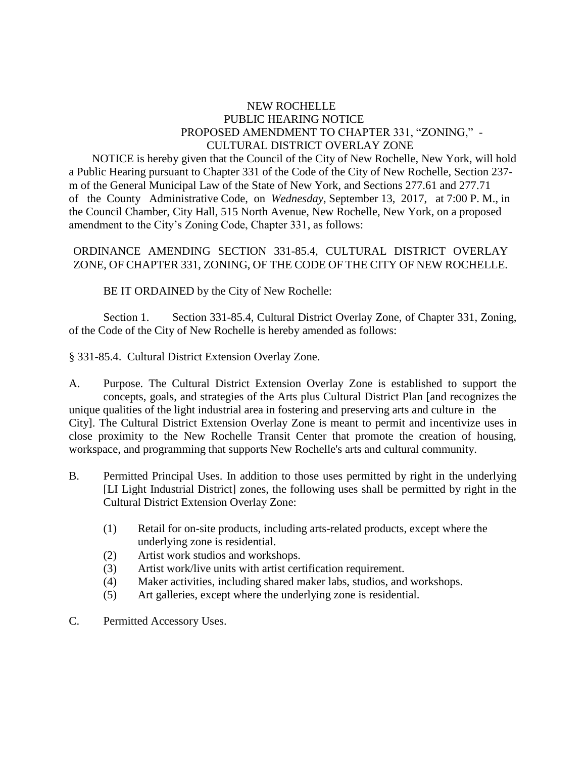## NEW ROCHELLE PUBLIC HEARING NOTICE PROPOSED AMENDMENT TO CHAPTER 331, "ZONING," - CULTURAL DISTRICT OVERLAY ZONE

 NOTICE is hereby given that the Council of the City of New Rochelle, New York, will hold a Public Hearing pursuant to Chapter 331 of the Code of the City of New Rochelle, Section 237 m of the General Municipal Law of the State of New York, and Sections 277.61 and 277.71 of the County Administrative Code, on *Wednesday*, September 13, 2017, at 7:00 P. M., in the Council Chamber, City Hall, 515 North Avenue, New Rochelle, New York, on a proposed amendment to the City's Zoning Code, Chapter 331, as follows:

## ORDINANCE AMENDING SECTION 331-85.4, CULTURAL DISTRICT OVERLAY ZONE, OF CHAPTER 331, ZONING, OF THE CODE OF THE CITY OF NEW ROCHELLE.

BE IT ORDAINED by the City of New Rochelle:

Section 1. Section 331-85.4, Cultural District Overlay Zone, of Chapter 331, Zoning, of the Code of the City of New Rochelle is hereby amended as follows:

§ 331-85.4. Cultural District Extension Overlay Zone.

A. Purpose. The Cultural District Extension Overlay Zone is established to support the concepts, goals, and strategies of the Arts plus Cultural District Plan [and recognizes the unique qualities of the light industrial area in fostering and preserving arts and culture in the City]. The Cultural District Extension Overlay Zone is meant to permit and incentivize uses in close proximity to the New Rochelle Transit Center that promote the creation of housing, workspace, and programming that supports New Rochelle's arts and cultural community.

- B. Permitted Principal Uses. In addition to those uses permitted by right in the underlying [LI Light Industrial District] zones, the following uses shall be permitted by right in the Cultural District Extension Overlay Zone:
	- (1) Retail for on-site products, including arts-related products, except where the underlying zone is residential.
	- (2) Artist work studios and workshops.
	- (3) Artist work/live units with artist certification requirement.
	- (4) Maker activities, including shared maker labs, studios, and workshops.
	- (5) Art galleries, except where the underlying zone is residential.
- C. Permitted Accessory Uses.